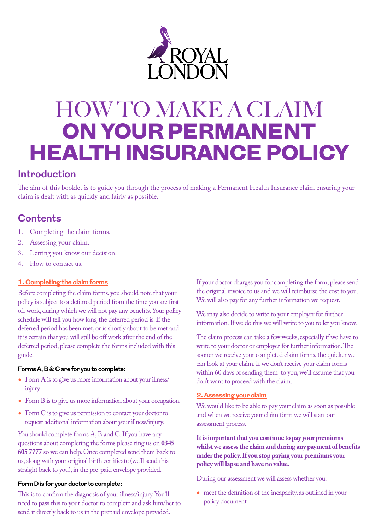

# HOW TO MAKE A CLAIM ON YOUR PERMANENT HEALTH INSURANCE POLICY

# **Introduction**

The aim of this booklet is to guide you through the process of making a Permanent Health Insurance claim ensuring your claim is dealt with as quickly and fairly as possible.

# **Contents**

- 1. Completing the claim forms.
- 2. Assessing your claim.
- 3. Letting you know our decision.
- 4. How to contact us.

# **1. Completing the claim forms**

Before completing the claim forms, you should note that your policy is subject to a deferred period from the time you are first off work, during which we will not pay any benefits. Your policy schedule will tell you how long the deferred period is. If the deferred period has been met, or is shortly about to be met and it is certain that you will still be off work after the end of the deferred period, please complete the forms included with this guide.

## **Forms A, B & C are for you to complete:**

- Form A is to give us more information about your illness/ injury.
- Form B is to give us more information about your occupation.
- Form C is to give us permission to contact your doctor to request additional information about your illness/injury.

You should complete forms A, B and C. If you have any questions about completing the forms please ring us on **0345 605 7777** so we can help. Once completed send them back to us, along with your original birth certificate (we'll send this straight back to you), in the pre-paid envelope provided.

## **Form D is for your doctor to complete:**

This is to confirm the diagnosis of your illness/injury. You'll need to pass this to your doctor to complete and ask him/her to send it directly back to us in the prepaid envelope provided.

If your doctor charges you for completing the form, please send the original invoice to us and we will reimburse the cost to you. We will also pay for any further information we request.

We may also decide to write to your employer for further information. If we do this we will write to you to let you know.

The claim process can take a few weeks, especially if we have to write to your doctor or employer for further information. The sooner we receive your completed claim forms, the quicker we can look at your claim. If we don't receive your claim forms within 60 days of sending them to you, we'll assume that you don't want to proceed with the claim.

# **2. Assessing your claim**

We would like to be able to pay your claim as soon as possible and when we receive your claim form we will start our assessment process.

**It is important that you continue to pay your premiums whilst we assess the claim and during any payment of benefits under the policy. If you stop paying your premiums your policy will lapse and have no value.**

During our assessment we will assess whether you:

• meet the definition of the incapacity, as outlined in your policy document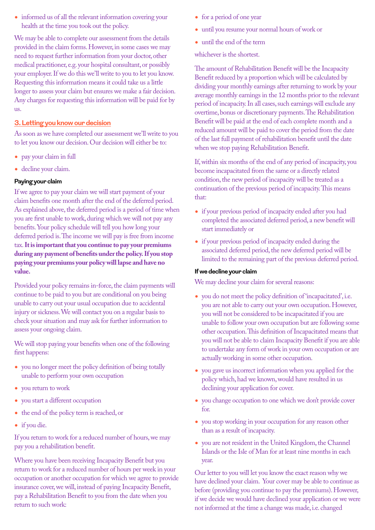• informed us of all the relevant information covering your health at the time you took out the policy.

We may be able to complete our assessment from the details provided in the claim forms. However, in some cases we may need to request further information from your doctor, other medical practitioner, e.g. your hospital consultant, or possibly your employer. If we do this we'll write to you to let you know. Requesting this information means it could take us a little longer to assess your claim but ensures we make a fair decision. Any charges for requesting this information will be paid for by us.

## **3. Letting you know our decision**

As soon as we have completed our assessment we'll write to you to let you know our decision. Our decision will either be to:

- pay your claim in full
- decline your claim.

#### **Paying your claim**

If we agree to pay your claim we will start payment of your claim benefits one month after the end of the deferred period. As explained above, the deferred period is a period of time when you are first unable to work, during which we will not pay any benefits. Your policy schedule will tell you how long your deferred period is. The income we will pay is free from income tax. **It is important that you continue to pay your premiums during any payment of benefits under the policy. If you stop paying your premiums your policy will lapse and have no value.**

Provided your policy remains in-force, the claim payments will continue to be paid to you but are conditional on you being unable to carry out your usual occupation due to accidental injury or sickness. We will contact you on a regular basis to check your situation and may ask for further information to assess your ongoing claim.

We will stop paying your benefits when one of the following first happens:

- you no longer meet the policy definition of being totally unable to perform your own occupation
- you return to work
- you start a different occupation
- the end of the policy term is reached, or
- if you die.

If you return to work for a reduced number of hours, we may pay you a rehabilitation benefit.

Where you have been receiving Incapacity Benefit but you return to work for a reduced number of hours per week in your occupation or another occupation for which we agree to provide insurance cover, we will, instead of paying Incapacity Benefit, pay a Rehabilitation Benefit to you from the date when you return to such work:

- for a period of one year
- until you resume your normal hours of work or
- until the end of the term

whichever is the shortest.

The amount of Rehabilitation Benefit will be the Incapacity Benefit reduced by a proportion which will be calculated by dividing your monthly earnings after returning to work by your average monthly earnings in the 12 months prior to the relevant period of incapacity. In all cases, such earnings will exclude any overtime, bonus or discretionary payments. The Rehabilitation Benefit will be paid at the end of each complete month and a reduced amount will be paid to cover the period from the date of the last full payment of rehabilitation benefit until the date when we stop paying Rehabilitation Benefit.

If, within six months of the end of any period of incapacity, you become incapacitated from the same or a directly related condition, the new period of incapacity will be treated as a continuation of the previous period of incapacity. This means that:

- if your previous period of incapacity ended after you had completed the associated deferred period, a new benefit will start immediately or
- if your previous period of incapacity ended during the associated deferred period, the new deferred period will be limited to the remaining part of the previous deferred period.

#### **If we decline your claim**

We may decline your claim for several reasons:

- you do not meet the policy definition of 'incapacitated', i.e. you are not able to carry out your own occupation. However, you will not be considered to be incapacitated if you are unable to follow your own occupation but are following some other occupation. This definition of Incapacitated means that you will not be able to claim Incapacity Benefit if you are able to undertake any form of work in your own occupation or are actually working in some other occupation.
- you gave us incorrect information when you applied for the policy which, had we known, would have resulted in us declining your application for cover.
- you change occupation to one which we don't provide cover for.
- you stop working in your occupation for any reason other than as a result of incapacity.
- you are not resident in the United Kingdom, the Channel Islands or the Isle of Man for at least nine months in each year.

Our letter to you will let you know the exact reason why we have declined your claim. Your cover may be able to continue as before (providing you continue to pay the premiums). However, if we decide we would have declined your application or we were not informed at the time a change was made, i.e. changed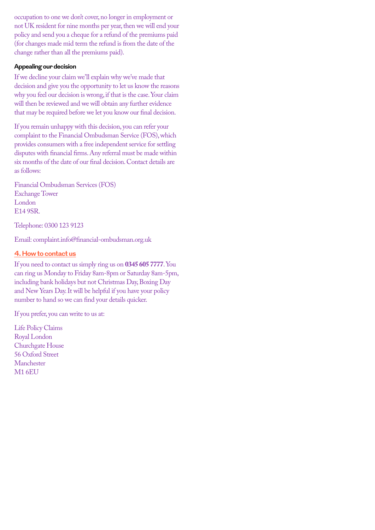occupation to one we don't cover, no longer in employment or not UK resident for nine months per year, then we will end your policy and send you a cheque for a refund of the premiums paid (for changes made mid term the refund is from the date of the change rather than all the premiums paid).

## **Appealing our decision**

If we decline your claim we'll explain why we've made that decision and give you the opportunity to let us know the reasons why you feel our decision is wrong, if that is the case. Your claim will then be reviewed and we will obtain any further evidence that may be required before we let you know our final decision.

If you remain unhappy with this decision, you can refer your complaint to the Financial Ombudsman Service (FOS), which provides consumers with a free independent service for settling disputes with financial firms. Any referral must be made within six months of the date of our final decision. Contact details are as follows:

Financial Ombudsman Services (FOS) Exchange Tower London E14 9SR.

Telephone: 0300 123 9123

Email: [complaint.info@financial-ombudsman.org.uk](mailto:complaint.info@financial-ombudsman.org.uk)

# **4. How to contact us**

If you need to contact us simply ring us on **0345 605 7777**. You can ring us Monday to Friday 8am-8pm or Saturday 8am-5pm, including bank holidays but not Christmas Day, Boxing Day and New Years Day. It will be helpful if you have your policy number to hand so we can find your details quicker.

If you prefer, you can write to us at:

Life Policy Claims Royal London Churchgate House 56 Oxford Street Manchester M1 6EU